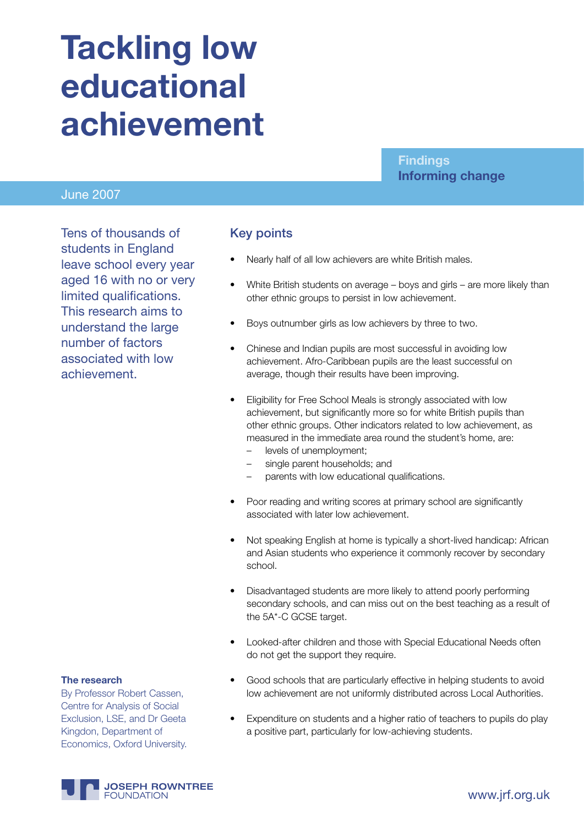# **Tackling low educational achievement**

#### June 2007

Tens of thousands of students in England leave school every year aged 16 with no or very limited qualifications. This research aims to understand the large number of factors associated with low achievement.

#### Key points

- Nearly half of all low achievers are white British males.
- White British students on average boys and girls are more likely than other ethnic groups to persist in low achievement.

**Findings**

**Informing change**

- Boys outnumber girls as low achievers by three to two.
- Chinese and Indian pupils are most successful in avoiding low achievement. Afro-Caribbean pupils are the least successful on average, though their results have been improving.
- Eligibility for Free School Meals is strongly associated with low achievement, but significantly more so for white British pupils than other ethnic groups. Other indicators related to low achievement, as measured in the immediate area round the student's home, are:
	- levels of unemployment;
	- single parent households; and
	- parents with low educational qualifications.
- Poor reading and writing scores at primary school are significantly associated with later low achievement.
- Not speaking English at home is typically a short-lived handicap: African and Asian students who experience it commonly recover by secondary school.
- Disadvantaged students are more likely to attend poorly performing secondary schools, and can miss out on the best teaching as a result of the 5A\*-C GCSE target.
- Looked-after children and those with Special Educational Needs often do not get the support they require.
- Good schools that are particularly effective in helping students to avoid low achievement are not uniformly distributed across Local Authorities.
- Expenditure on students and a higher ratio of teachers to pupils do play a positive part, particularly for low-achieving students.

#### **The research**

By Professor Robert Cassen, Centre for Analysis of Social Exclusion, LSE, and Dr Geeta Kingdon, Department of Economics, Oxford University.

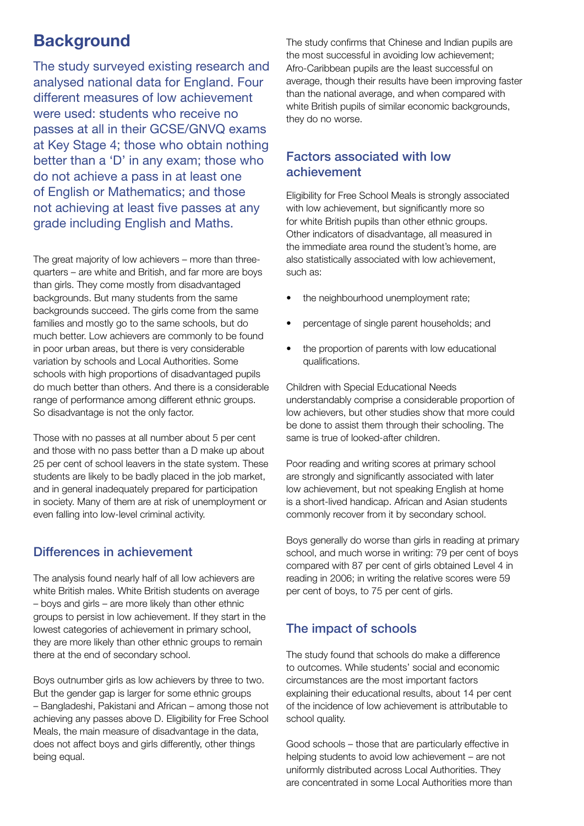## **Background**

The study surveyed existing research and analysed national data for England. Four different measures of low achievement were used: students who receive no passes at all in their GCSE/GNVQ exams at Key Stage 4; those who obtain nothing better than a 'D' in any exam; those who do not achieve a pass in at least one of English or Mathematics; and those not achieving at least five passes at any grade including English and Maths.

The great majority of low achievers – more than threequarters – are white and British, and far more are boys than girls. They come mostly from disadvantaged backgrounds. But many students from the same backgrounds succeed. The girls come from the same families and mostly go to the same schools, but do much better. Low achievers are commonly to be found in poor urban areas, but there is very considerable variation by schools and Local Authorities. Some schools with high proportions of disadvantaged pupils do much better than others. And there is a considerable range of performance among different ethnic groups. So disadvantage is not the only factor.

Those with no passes at all number about 5 per cent and those with no pass better than a D make up about 25 per cent of school leavers in the state system. These students are likely to be badly placed in the job market, and in general inadequately prepared for participation in society. Many of them are at risk of unemployment or even falling into low-level criminal activity.

## Differences in achievement

The analysis found nearly half of all low achievers are white British males. White British students on average – boys and girls – are more likely than other ethnic groups to persist in low achievement. If they start in the lowest categories of achievement in primary school, they are more likely than other ethnic groups to remain there at the end of secondary school.

Boys outnumber girls as low achievers by three to two. But the gender gap is larger for some ethnic groups – Bangladeshi, Pakistani and African – among those not achieving any passes above D. Eligibility for Free School Meals, the main measure of disadvantage in the data, does not affect boys and girls differently, other things being equal.

The study confirms that Chinese and Indian pupils are the most successful in avoiding low achievement; Afro-Caribbean pupils are the least successful on average, though their results have been improving faster than the national average, and when compared with white British pupils of similar economic backgrounds, they do no worse.

## Factors associated with low achievement

Eligibility for Free School Meals is strongly associated with low achievement, but significantly more so for white British pupils than other ethnic groups. Other indicators of disadvantage, all measured in the immediate area round the student's home, are also statistically associated with low achievement, such as:

- the neighbourhood unemployment rate;
- percentage of single parent households; and
- the proportion of parents with low educational qualifications.

Children with Special Educational Needs understandably comprise a considerable proportion of low achievers, but other studies show that more could be done to assist them through their schooling. The same is true of looked-after children.

Poor reading and writing scores at primary school are strongly and significantly associated with later low achievement, but not speaking English at home is a short-lived handicap. African and Asian students commonly recover from it by secondary school.

Boys generally do worse than girls in reading at primary school, and much worse in writing: 79 per cent of boys compared with 87 per cent of girls obtained Level 4 in reading in 2006; in writing the relative scores were 59 per cent of boys, to 75 per cent of girls.

## The impact of schools

The study found that schools do make a difference to outcomes. While students' social and economic circumstances are the most important factors explaining their educational results, about 14 per cent of the incidence of low achievement is attributable to school quality.

Good schools – those that are particularly effective in helping students to avoid low achievement – are not uniformly distributed across Local Authorities. They are concentrated in some Local Authorities more than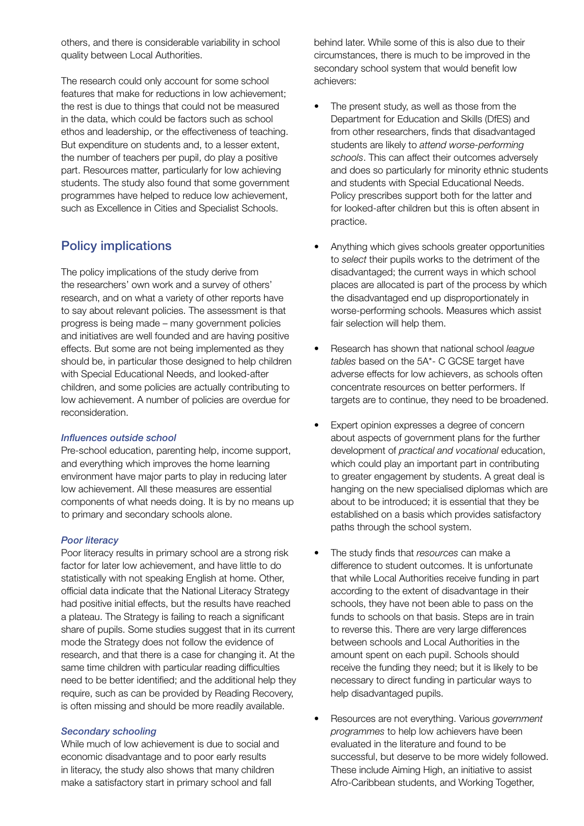others, and there is considerable variability in school quality between Local Authorities.

The research could only account for some school features that make for reductions in low achievement; the rest is due to things that could not be measured in the data, which could be factors such as school ethos and leadership, or the effectiveness of teaching. But expenditure on students and, to a lesser extent, the number of teachers per pupil, do play a positive part. Resources matter, particularly for low achieving students. The study also found that some government programmes have helped to reduce low achievement, such as Excellence in Cities and Specialist Schools.

## Policy implications

The policy implications of the study derive from the researchers' own work and a survey of others' research, and on what a variety of other reports have to say about relevant policies. The assessment is that progress is being made – many government policies and initiatives are well founded and are having positive effects. But some are not being implemented as they should be, in particular those designed to help children with Special Educational Needs, and looked-after children, and some policies are actually contributing to low achievement. A number of policies are overdue for reconsideration.

#### *Influences outside school*

Pre-school education, parenting help, income support, and everything which improves the home learning environment have major parts to play in reducing later low achievement. All these measures are essential components of what needs doing. It is by no means up to primary and secondary schools alone.

#### *Poor literacy*

Poor literacy results in primary school are a strong risk factor for later low achievement, and have little to do statistically with not speaking English at home. Other, official data indicate that the National Literacy Strategy had positive initial effects, but the results have reached a plateau. The Strategy is failing to reach a significant share of pupils. Some studies suggest that in its current mode the Strategy does not follow the evidence of research, and that there is a case for changing it. At the same time children with particular reading difficulties need to be better identified; and the additional help they require, such as can be provided by Reading Recovery, is often missing and should be more readily available.

#### *Secondary schooling*

While much of low achievement is due to social and economic disadvantage and to poor early results in literacy, the study also shows that many children make a satisfactory start in primary school and fall

behind later. While some of this is also due to their circumstances, there is much to be improved in the secondary school system that would benefit low achievers:

- The present study, as well as those from the Department for Education and Skills (DfES) and from other researchers, finds that disadvantaged students are likely to *attend worse-performing schools*. This can affect their outcomes adversely and does so particularly for minority ethnic students and students with Special Educational Needs. Policy prescribes support both for the latter and for looked-after children but this is often absent in practice.
- Anything which gives schools greater opportunities to *select* their pupils works to the detriment of the disadvantaged; the current ways in which school places are allocated is part of the process by which the disadvantaged end up disproportionately in worse-performing schools. Measures which assist fair selection will help them.
- Research has shown that national school *league tables* based on the 5A\*- C GCSE target have adverse effects for low achievers, as schools often concentrate resources on better performers. If targets are to continue, they need to be broadened.
- Expert opinion expresses a degree of concern about aspects of government plans for the further development of *practical and vocational* education, which could play an important part in contributing to greater engagement by students. A great deal is hanging on the new specialised diplomas which are about to be introduced; it is essential that they be established on a basis which provides satisfactory paths through the school system.
- The study finds that *resources* can make a difference to student outcomes. It is unfortunate that while Local Authorities receive funding in part according to the extent of disadvantage in their schools, they have not been able to pass on the funds to schools on that basis. Steps are in train to reverse this. There are very large differences between schools and Local Authorities in the amount spent on each pupil. Schools should receive the funding they need; but it is likely to be necessary to direct funding in particular ways to help disadvantaged pupils.
- Resources are not everything. Various *government programmes* to help low achievers have been evaluated in the literature and found to be successful, but deserve to be more widely followed. These include Aiming High, an initiative to assist Afro-Caribbean students, and Working Together,